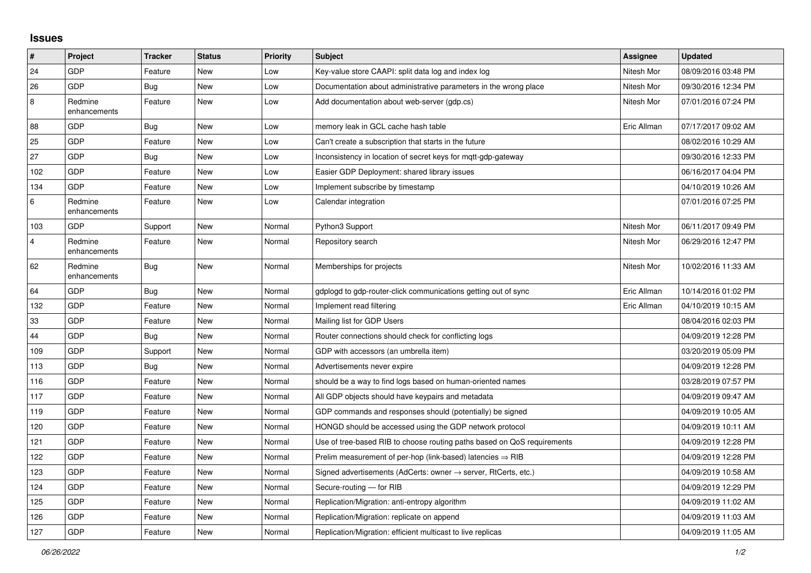## **Issues**

| $\vert$ #      | <b>Project</b>          | <b>Tracker</b> | <b>Status</b> | <b>Priority</b> | <b>Subject</b>                                                          | Assignee    | <b>Updated</b>      |
|----------------|-------------------------|----------------|---------------|-----------------|-------------------------------------------------------------------------|-------------|---------------------|
| 24             | GDP                     | Feature        | <b>New</b>    | Low             | Key-value store CAAPI: split data log and index log                     | Nitesh Mor  | 08/09/2016 03:48 PM |
| 26             | GDP                     | Bug            | <b>New</b>    | Low             | Documentation about administrative parameters in the wrong place        | Nitesh Mor  | 09/30/2016 12:34 PM |
| 8              | Redmine<br>enhancements | Feature        | New           | Low             | Add documentation about web-server (gdp.cs)                             | Nitesh Mor  | 07/01/2016 07:24 PM |
| 88             | GDP                     | Bug            | New           | Low             | memory leak in GCL cache hash table                                     | Eric Allman | 07/17/2017 09:02 AM |
| 25             | GDP                     | Feature        | <b>New</b>    | Low             | Can't create a subscription that starts in the future                   |             | 08/02/2016 10:29 AM |
| 27             | GDP                     | Bug            | New           | Low             | Inconsistency in location of secret keys for mgtt-gdp-gateway           |             | 09/30/2016 12:33 PM |
| 102            | GDP                     | Feature        | New           | Low             | Easier GDP Deployment: shared library issues                            |             | 06/16/2017 04:04 PM |
| 134            | GDP                     | Feature        | New           | Low             | Implement subscribe by timestamp                                        |             | 04/10/2019 10:26 AM |
| $\,6$          | Redmine<br>enhancements | Feature        | <b>New</b>    | Low             | Calendar integration                                                    |             | 07/01/2016 07:25 PM |
| 103            | GDP                     | Support        | New           | Normal          | Python3 Support                                                         | Nitesh Mor  | 06/11/2017 09:49 PM |
| $\overline{4}$ | Redmine<br>enhancements | Feature        | New           | Normal          | Repository search                                                       | Nitesh Mor  | 06/29/2016 12:47 PM |
| 62             | Redmine<br>enhancements | <b>Bug</b>     | New           | Normal          | Memberships for projects                                                | Nitesh Mor  | 10/02/2016 11:33 AM |
| 64             | GDP                     | <b>Bug</b>     | New           | Normal          | gdplogd to gdp-router-click communications getting out of sync          | Eric Allman | 10/14/2016 01:02 PM |
| 132            | GDP                     | Feature        | New           | Normal          | Implement read filtering                                                | Eric Allman | 04/10/2019 10:15 AM |
| 33             | GDP                     | Feature        | <b>New</b>    | Normal          | Mailing list for GDP Users                                              |             | 08/04/2016 02:03 PM |
| 44             | GDP                     | <b>Bug</b>     | <b>New</b>    | Normal          | Router connections should check for conflicting logs                    |             | 04/09/2019 12:28 PM |
| 109            | GDP                     | Support        | <b>New</b>    | Normal          | GDP with accessors (an umbrella item)                                   |             | 03/20/2019 05:09 PM |
| 113            | GDP                     | Bug            | New           | Normal          | Advertisements never expire                                             |             | 04/09/2019 12:28 PM |
| 116            | GDP                     | Feature        | New           | Normal          | should be a way to find logs based on human-oriented names              |             | 03/28/2019 07:57 PM |
| 117            | GDP                     | Feature        | New           | Normal          | All GDP objects should have keypairs and metadata                       |             | 04/09/2019 09:47 AM |
| 119            | GDP                     | Feature        | New           | Normal          | GDP commands and responses should (potentially) be signed               |             | 04/09/2019 10:05 AM |
| 120            | GDP                     | Feature        | New           | Normal          | HONGD should be accessed using the GDP network protocol                 |             | 04/09/2019 10:11 AM |
| 121            | GDP                     | Feature        | <b>New</b>    | Normal          | Use of tree-based RIB to choose routing paths based on QoS requirements |             | 04/09/2019 12:28 PM |
| 122            | GDP                     | Feature        | New           | Normal          | Prelim measurement of per-hop (link-based) latencies $\Rightarrow$ RIB  |             | 04/09/2019 12:28 PM |
| 123            | GDP                     | Feature        | New           | Normal          | Signed advertisements (AdCerts: owner → server, RtCerts, etc.)          |             | 04/09/2019 10:58 AM |
| 124            | GDP                     | Feature        | <b>New</b>    | Normal          | Secure-routing - for RIB                                                |             | 04/09/2019 12:29 PM |
| 125            | GDP                     | Feature        | <b>New</b>    | Normal          | Replication/Migration: anti-entropy algorithm                           |             | 04/09/2019 11:02 AM |
| 126            | GDP                     | Feature        | <b>New</b>    | Normal          | Replication/Migration: replicate on append                              |             | 04/09/2019 11:03 AM |
| 127            | GDP                     | Feature        | New           | Normal          | Replication/Migration: efficient multicast to live replicas             |             | 04/09/2019 11:05 AM |